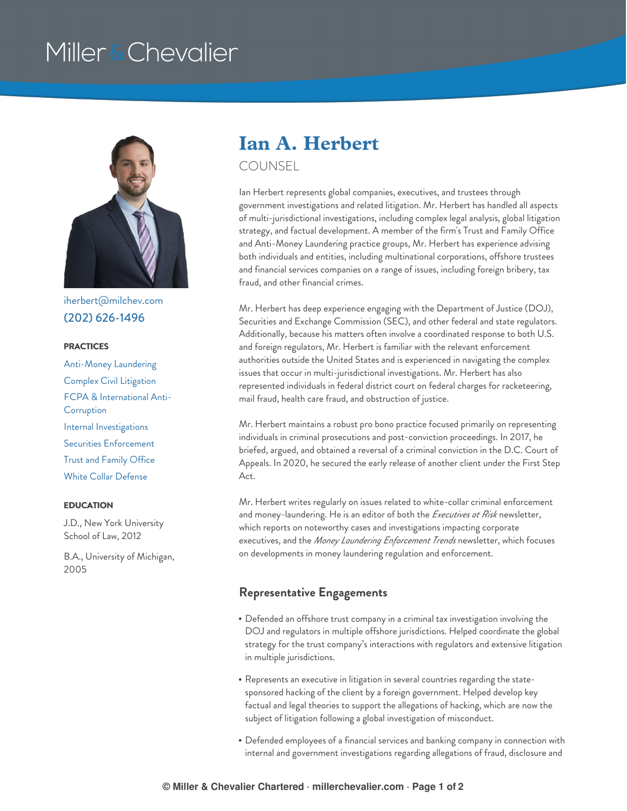# Miller & Chevalier



[iherbert@milchev.com](mailto:iherbert@milchev.com) (202) [626-1496](tel:202-626-1496)

#### **PRACTICES**

[Anti-Money](https://www.millerchevalier.com/practice-area/anti-money-laundering) Laundering Complex Civil [Litigation](https://www.millerchevalier.com/practice-area/complex-civil-litigation) FCPA & [International](https://www.millerchevalier.com/practice-area/fcpa-international-anti-corruption) Anti-**Corruption** Internal [Investigations](https://www.millerchevalier.com/practice-area/internal-investigations) Securities [Enforcement](https://www.millerchevalier.com/practice-area/securities-enforcement) Trust and [Family](https://www.millerchevalier.com/practice-area/trust-and-family-office) Office White Collar [Defense](https://www.millerchevalier.com/practice-area/white-collar-defense)

#### **EDUCATION**

J.D., New York University School of Law, 2012

B.A., University of Michigan, 2005

## **Ian A. Herbert**

COUNSEL

Ian Herbert represents global companies, executives, and trustees through government investigations and related litigation. Mr. Herbert has handled all aspects of multi-jurisdictional investigations, including complex legal analysis, global litigation strategy, and factual development. A member of the firm's Trust and Family Office and Anti-Money Laundering practice groups, Mr. Herbert has experience advising both individuals and entities, including multinational corporations, offshore trustees and financial services companies on a range of issues, including foreign bribery, tax fraud, and other financial crimes.

Mr. Herbert has deep experience engaging with the Department of Justice (DOJ), Securities and Exchange Commission (SEC), and other federal and state regulators. Additionally, because his matters often involve a coordinated response to both U.S. and foreign regulators, Mr. Herbert is familiar with the relevant enforcement authorities outside the United States and is experienced in navigating the complex issues that occur in multi-jurisdictional investigations. Mr. Herbert has also represented individuals in federal district court on federal charges for racketeering, mail fraud, health care fraud, and obstruction of justice.

Mr. Herbert maintains a robust pro bono practice focused primarily on representing individuals in criminal prosecutions and post-conviction proceedings. In 2017, he briefed, argued, and obtained a reversal of a criminal conviction in the D.C. Court of Appeals. In 2020, he secured the early release of another client under the First Step Act.

Mr. Herbert writes regularly on issues related to white-collar criminal enforcement and money-laundering. He is an editor of both the *Executives at Risk* newsletter, which reports on noteworthy cases and investigations impacting corporate executives, and the *Money Laundering Enforcement Trends* newsletter, which focuses on developments in money laundering regulation and enforcement.

### **Representative Engagements**

- Defended an offshore trust company in a criminal tax investigation involving the DOJ and regulators in multiple offshore jurisdictions. Helped coordinate the global strategy for the trust company's interactions with regulators and extensive litigation in multiple jurisdictions.
- Represents an executive in litigation in several countries regarding the statesponsored hacking of the client by a foreign government. Helped develop key factual and legal theories to support the allegations of hacking, which are now the subject of litigation following a global investigation of misconduct.
- Defended employees of a financial services and banking company in connection with internal and government investigations regarding allegations of fraud, disclosure and